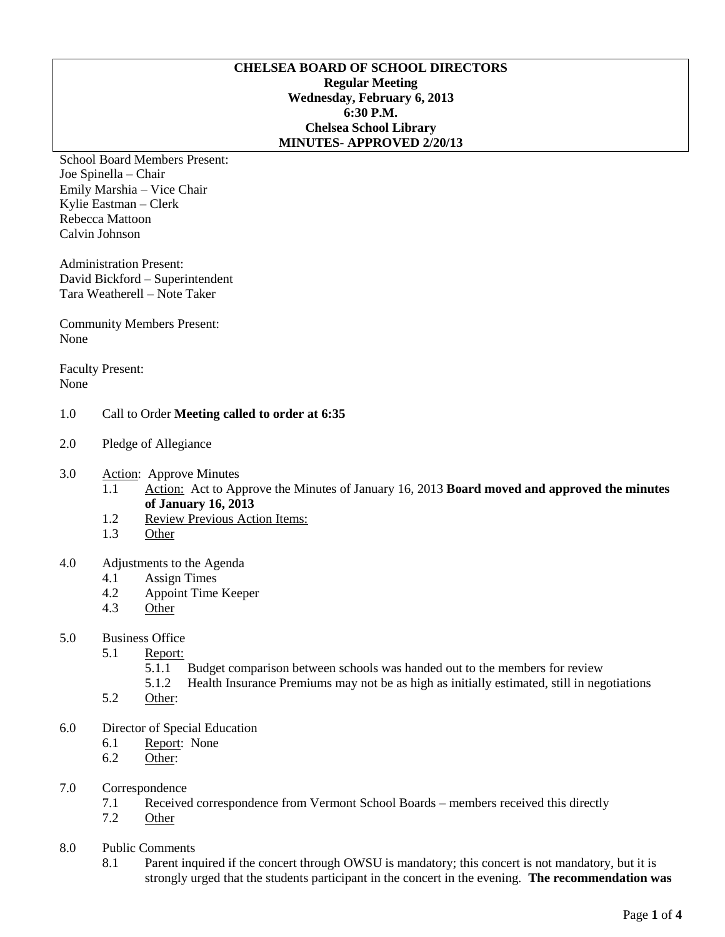## **CHELSEA BOARD OF SCHOOL DIRECTORS Regular Meeting Wednesday, February 6, 2013 6:30 P.M. Chelsea School Library MINUTES- APPROVED 2/20/13**

School Board Members Present: Joe Spinella – Chair Emily Marshia – Vice Chair Kylie Eastman – Clerk Rebecca Mattoon Calvin Johnson

Administration Present: David Bickford – Superintendent Tara Weatherell – Note Taker

Community Members Present: None

Faculty Present: None

# 1.0 Call to Order **Meeting called to order at 6:35**

- 2.0 Pledge of Allegiance
- 3.0 Action: Approve Minutes
	- 1.1 Action: Act to Approve the Minutes of January 16, 2013 **Board moved and approved the minutes of January 16, 2013**
	- 1.2 Review Previous Action Items:
	- 1.3 Other
- 4.0 Adjustments to the Agenda
	- 4.1 Assign Times
	- 4.2 Appoint Time Keeper
	- 4.3 Other
- 5.0 Business Office
	- 5.1 Report:
		- 5.1.1 Budget comparison between schools was handed out to the members for review
		- 5.1.2 Health Insurance Premiums may not be as high as initially estimated, still in negotiations
	- 5.2 Other:
- 6.0 Director of Special Education
	- 6.1 Report: None
	- 6.2 Other:
- 7.0 Correspondence
	- 7.1 Received correspondence from Vermont School Boards members received this directly
	- 7.2 Other
- 8.0 Public Comments
	- 8.1 Parent inquired if the concert through OWSU is mandatory; this concert is not mandatory, but it is strongly urged that the students participant in the concert in the evening. **The recommendation was**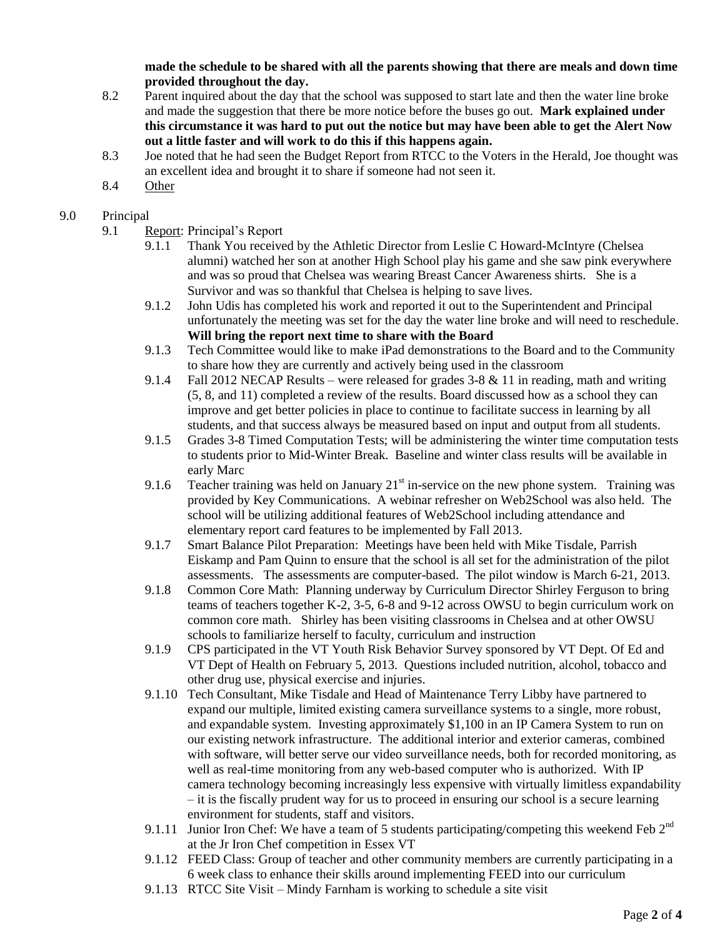**made the schedule to be shared with all the parents showing that there are meals and down time provided throughout the day.**

- 8.2 Parent inquired about the day that the school was supposed to start late and then the water line broke and made the suggestion that there be more notice before the buses go out. **Mark explained under this circumstance it was hard to put out the notice but may have been able to get the Alert Now out a little faster and will work to do this if this happens again.**
- 8.3 Joe noted that he had seen the Budget Report from RTCC to the Voters in the Herald, Joe thought was an excellent idea and brought it to share if someone had not seen it.
- 8.4 Other

## 9.0 Principal

- 9.1 Report: Principal's Report
	- 9.1.1 Thank You received by the Athletic Director from Leslie C Howard-McIntyre (Chelsea alumni) watched her son at another High School play his game and she saw pink everywhere and was so proud that Chelsea was wearing Breast Cancer Awareness shirts. She is a Survivor and was so thankful that Chelsea is helping to save lives.
	- 9.1.2 John Udis has completed his work and reported it out to the Superintendent and Principal unfortunately the meeting was set for the day the water line broke and will need to reschedule. **Will bring the report next time to share with the Board**
	- 9.1.3 Tech Committee would like to make iPad demonstrations to the Board and to the Community to share how they are currently and actively being used in the classroom
	- 9.1.4 Fall 2012 NECAP Results were released for grades  $3-8 \& 11$  in reading, math and writing (5, 8, and 11) completed a review of the results. Board discussed how as a school they can improve and get better policies in place to continue to facilitate success in learning by all students, and that success always be measured based on input and output from all students.
	- 9.1.5 Grades 3-8 Timed Computation Tests; will be administering the winter time computation tests to students prior to Mid-Winter Break. Baseline and winter class results will be available in early Marc
	- 9.1.6 Teacher training was held on January  $21<sup>st</sup>$  in-service on the new phone system. Training was provided by Key Communications. A webinar refresher on Web2School was also held. The school will be utilizing additional features of Web2School including attendance and elementary report card features to be implemented by Fall 2013.
	- 9.1.7 Smart Balance Pilot Preparation: Meetings have been held with Mike Tisdale, Parrish Eiskamp and Pam Quinn to ensure that the school is all set for the administration of the pilot assessments. The assessments are computer-based. The pilot window is March 6-21, 2013.
	- 9.1.8 Common Core Math: Planning underway by Curriculum Director Shirley Ferguson to bring teams of teachers together K-2, 3-5, 6-8 and 9-12 across OWSU to begin curriculum work on common core math. Shirley has been visiting classrooms in Chelsea and at other OWSU schools to familiarize herself to faculty, curriculum and instruction
	- 9.1.9 CPS participated in the VT Youth Risk Behavior Survey sponsored by VT Dept. Of Ed and VT Dept of Health on February 5, 2013. Questions included nutrition, alcohol, tobacco and other drug use, physical exercise and injuries.
	- 9.1.10 Tech Consultant, Mike Tisdale and Head of Maintenance Terry Libby have partnered to expand our multiple, limited existing camera surveillance systems to a single, more robust, and expandable system. Investing approximately \$1,100 in an IP Camera System to run on our existing network infrastructure. The additional interior and exterior cameras, combined with software, will better serve our video surveillance needs, both for recorded monitoring, as well as real-time monitoring from any web-based computer who is authorized. With IP camera technology becoming increasingly less expensive with virtually limitless expandability – it is the fiscally prudent way for us to proceed in ensuring our school is a secure learning environment for students, staff and visitors.
	- 9.1.11 Junior Iron Chef: We have a team of 5 students participating/competing this weekend Feb  $2^{nd}$ at the Jr Iron Chef competition in Essex VT
	- 9.1.12 FEED Class: Group of teacher and other community members are currently participating in a 6 week class to enhance their skills around implementing FEED into our curriculum
	- 9.1.13 RTCC Site Visit Mindy Farnham is working to schedule a site visit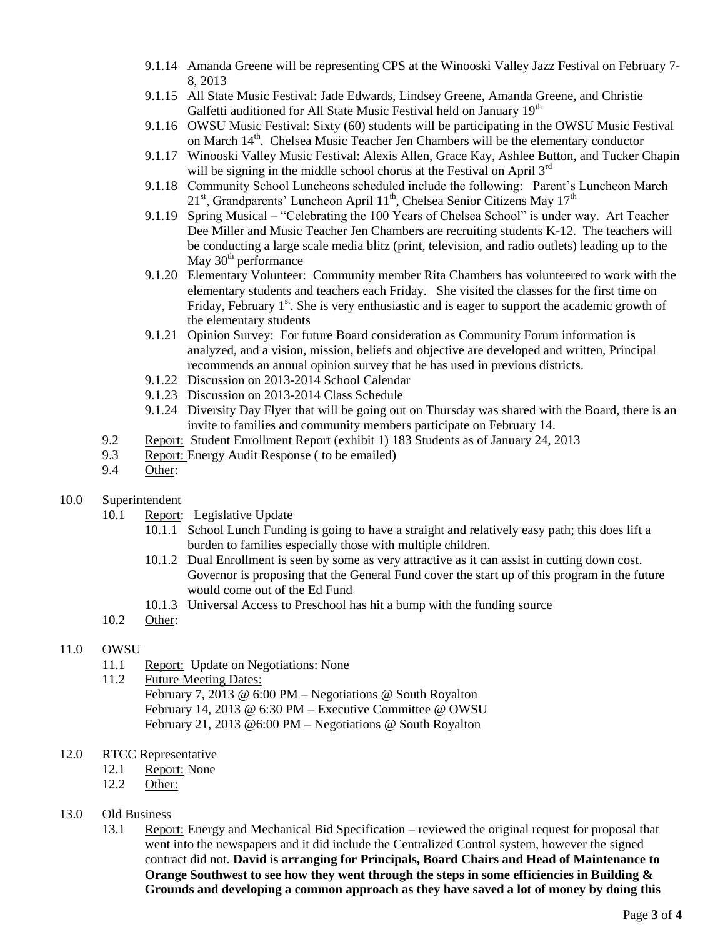- 9.1.14 Amanda Greene will be representing CPS at the Winooski Valley Jazz Festival on February 7- 8, 2013
- 9.1.15 All State Music Festival: Jade Edwards, Lindsey Greene, Amanda Greene, and Christie Galfetti auditioned for All State Music Festival held on January 19<sup>th</sup>
- 9.1.16 OWSU Music Festival: Sixty (60) students will be participating in the OWSU Music Festival on March 14th. Chelsea Music Teacher Jen Chambers will be the elementary conductor
- 9.1.17 Winooski Valley Music Festival: Alexis Allen, Grace Kay, Ashlee Button, and Tucker Chapin will be signing in the middle school chorus at the Festival on April 3<sup>rd</sup>
- 9.1.18 Community School Luncheons scheduled include the following: Parent's Luncheon March 21<sup>st</sup>, Grandparents' Luncheon April 11<sup>th</sup>, Chelsea Senior Citizens May 17<sup>th</sup>
- 9.1.19 Spring Musical "Celebrating the 100 Years of Chelsea School" is under way. Art Teacher Dee Miller and Music Teacher Jen Chambers are recruiting students K-12. The teachers will be conducting a large scale media blitz (print, television, and radio outlets) leading up to the May  $30<sup>th</sup>$  performance
- 9.1.20 Elementary Volunteer: Community member Rita Chambers has volunteered to work with the elementary students and teachers each Friday. She visited the classes for the first time on Friday, February  $1<sup>st</sup>$ . She is very enthusiastic and is eager to support the academic growth of the elementary students
- 9.1.21 Opinion Survey: For future Board consideration as Community Forum information is analyzed, and a vision, mission, beliefs and objective are developed and written, Principal recommends an annual opinion survey that he has used in previous districts.
- 9.1.22 Discussion on 2013-2014 School Calendar
- 9.1.23 Discussion on 2013-2014 Class Schedule
- 9.1.24 Diversity Day Flyer that will be going out on Thursday was shared with the Board, there is an invite to families and community members participate on February 14.
- 9.2 Report: Student Enrollment Report (exhibit 1) 183 Students as of January 24, 2013
- 9.3 Report: Energy Audit Response ( to be emailed)
- 9.4 Other:
- 10.0 Superintendent
	- 10.1 Report: Legislative Update
		- 10.1.1 School Lunch Funding is going to have a straight and relatively easy path; this does lift a burden to families especially those with multiple children.
		- 10.1.2 Dual Enrollment is seen by some as very attractive as it can assist in cutting down cost. Governor is proposing that the General Fund cover the start up of this program in the future would come out of the Ed Fund
		- 10.1.3 Universal Access to Preschool has hit a bump with the funding source
	- 10.2 Other:

#### 11.0 OWSU

- 11.1 Report: Update on Negotiations: None
- 11.2 Future Meeting Dates: February 7, 2013 @ 6:00 PM – Negotiations @ South Royalton February 14, 2013 @ 6:30 PM – Executive Committee @ OWSU February 21, 2013 @6:00 PM – Negotiations @ South Royalton
- 12.0 RTCC Representative
	- 12.1 Report: None
	- 12.2 Other:
- 13.0 Old Business
	- 13.1 Report: Energy and Mechanical Bid Specification reviewed the original request for proposal that went into the newspapers and it did include the Centralized Control system, however the signed contract did not. **David is arranging for Principals, Board Chairs and Head of Maintenance to Orange Southwest to see how they went through the steps in some efficiencies in Building & Grounds and developing a common approach as they have saved a lot of money by doing this**